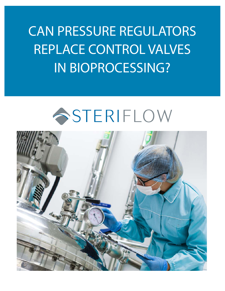CAN PRESSURE REGULATORS REPLACE CONTROL VALVES IN BIOPROCESSING?

# SSTERIFLOW

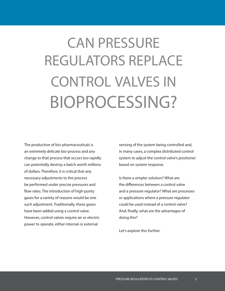# CAN PRESSURE REGULATORS REPLACE CONTROL VALVES IN BIOPROCESSING?

The production of bio-pharmaceuticals is an extremely delicate bio-process and any change to that process that occurs too rapidly can potentially destroy a batch worth millions of dollars. Therefore, it is critical that any necessary adjustments to the process be performed under precise pressures and flow rates. The introduction of high-purity gases for a variety of reasons would be one such adjustment. Traditionally, these gases have been added using a control valve. However, control valves require air or electric power to operate, either internal or external

sensing of the system being controlled and, in many cases, a complex distributed control system to adjust the control valve's positioner based on system response.

Is there a simpler solution? What are the differences between a control valve and a pressure regulator? What are processes or applications where a pressure regulator could be used instead of a control valve? And, finally, what are the advantages of doing this?

Let's explore this further.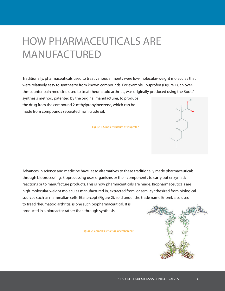## HOW PHARMACEUTICALS ARE MANUFACTURED

Traditionally, pharmaceuticals used to treat various ailments were low-molecular-weight molecules that were relatively easy to synthesize from known compounds. For example, ibuprofen (Figure 1), an overthe-counter pain medicine used to treat rheumatoid arthritis, was originally produced using the Boots' synthesis method, patented by the original manufacturer, to produce

the drug from the compound 2-mthylpropylbenzene, which can be made from compounds separated from crude oil.

Figure 1. Simple structure of ibuprofen



Advances in science and medicine have let to alternatives to these traditionally made pharmaceuticals through bioprocessing. Bioprocessing uses organisms or their components to carry out enzymatic reactions or to manufacture products. This is how pharmaceuticals are made. Biopharmaceuticals are high-molecular-weight molecules manufactured in, extracted from, or semi-synthesized from biological sources such as mammalian cells. Etanercept (Figure 2), sold under the trade name Enbrel, also used to tread rheumatoid arthritis, is one such biopharmaceutical. It is produced in a bioreactor rather than through synthesis.

Figure 2. Complex structure of etanercept

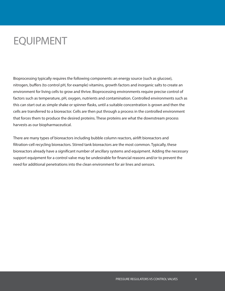### EQUIPMENT

Bioprocessing typically requires the following components: an energy source (such as glucose), nitrogen, buffers (to control pH, for example) vitamins, growth factors and inorganic salts to create an environment for living cells to grow and thrive. Bioprocessing environments require precise control of factors such as temperature, pH, oxygen, nutrients and contamination. Controlled environments such as this can start out as simple shake or spinner flasks, until a suitable concentration is grown and then the cells are transferred to a bioreactor. Cells are then put through a process in the controlled environment that forces them to produce the desired proteins. These proteins are what the downstream process harvests as our biopharmaceutical.

There are many types of bioreactors including bubble column reactors, airlift bioreactors and filtration-cell recycling bioreactors. Stirred tank bioreactors are the most common. Typically, these bioreactors already have a significant number of ancillary systems and equipment. Adding the necessary support equipment for a control valve may be undesirable for financial reasons and/or to prevent the need for additional penetrations into the clean environment for air lines and sensors.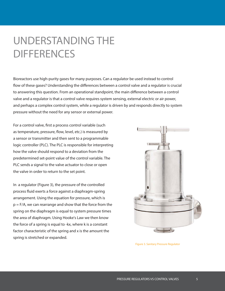### UNDERSTANDING THE **DIFFERENCES**

Bioreactors use high-purity gases for many purposes. Can a regulator be used instead to control flow of these gases? Understanding the differences between a control valve and a regulator is crucial to answering this question. From an operational standpoint, the main difference between a control valve and a regulator is that a control valve requires system sensing, external electric or air power, and perhaps a complex control system, while a regulator is driven by and responds directly to system pressure without the need for any sensor or external power.

For a control valve, first a process control variable (such as temperature, pressure, flow, level, etc.) is measured by a sensor or transmitter and then sent to a programmable logic controller (PLC). The PLC is responsible for interpreting how the valve should respond to a deviation from the predetermined set-point value of the control variable. The PLC sends a signal to the valve actuator to close or open the valve in order to return to the set point.

In a regulator (Figure 3), the pressure of the controlled process fluid exerts a force against a diaphragm-spring arrangement. Using the equation for pressure, which is p = F/A, we can rearrange and show that the force from the spring on the diaphragm is equal to system pressure times the area of diaphragm. Using Hooke's Law we then know the force of a spring is equal to -kx, where k is a constant factor characteristic of the spring and x is the amount the spring is stretched or expanded.



Figure 3. Sanitary Pressure Regulator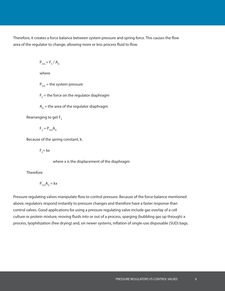Therefore, it creates a force balance between system pressure and spring force. This causes the flow area of the regulator to change, allowing more or less process fluid to flow.

$$
P_{\rm sys} = F_{\rm s} / A_{\rm p}
$$

where

 $P_{sys}$  = the system pressure

 $F_{s}$  $F_s$  = the force on the regulator diaphragm

 ${\sf A}_{_{\rm D}}$  = the area of the regulator diaphragm

Rearranging to get  $F_s$ 

 $F_s = P_{sys}A_p$ 

Because of the spring constant, k:

 $F_s$  = kx

where x is the displacement of the diaphragm

Therefore

$$
P_{\text{SYS}}A_{\text{D}} = kx
$$

Pressure regulating valves manipulate flow to control pressure. Because of the force balance mentioned above, regulators respond instantly to pressure changes and therefore have a faster response than control valves. Good applications for using a pressure regulating valve include gas overlay of a cell culture or protein mixture, moving fluids into or out of a process, sparging (bubbling gas up through) a process, lyophilization (free drying) and, on newer systems, inflation of single-use disposable (SUD) bags.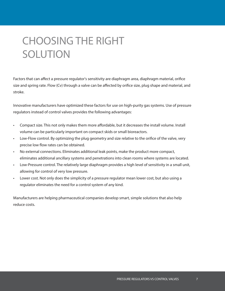## CHOOSING THE RIGHT SOLUTION

Factors that can affect a pressure regulator's sensitivity are diaphragm area, diaphragm material, orifice size and spring rate. Flow (Cv) through a valve can be affected by orifice size, plug shape and material, and stroke.

Innovative manufacturers have optimized these factors for use on high-purity gas systems. Use of pressure regulators instead of control valves provides the following advantages:

- Compact size. This not only makes them more affordable, but it decreases the install volume. Install volume can be particularly important on compact skids or small bioreactors.
- Low-Flow control. By optimizing the plug geometry and size relative to the orifice of the valve, very precise low flow rates can be obtained.
- No external connections. Eliminates additional leak points, make the product more compact, eliminates additional ancillary systems and penetrations into clean rooms where systems are located.
- Low-Pressure control. The relatively large diaphragm provides a high level of sensitivity in a small unit, allowing for control of very low pressure.
- Lower cost. Not only does the simplicity of a pressure regulator mean lower cost, but also using a regulator eliminates the need for a control system of any kind.

Manufacturers are helping pharmaceutical companies develop smart, simple solutions that also help reduce costs.